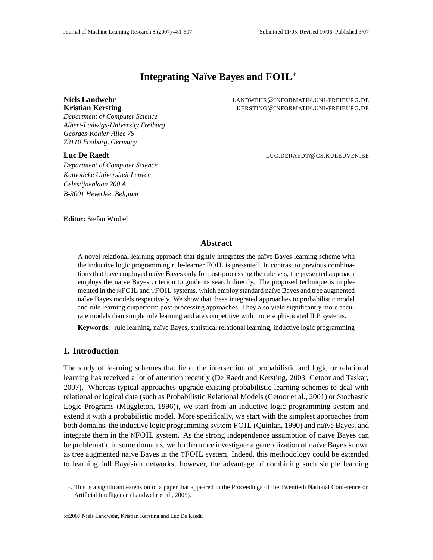# **Integrating Na¨ıve Bayes and FOIL** ∗

*Department of Computer Science Albert-Ludwigs-University Freiburg Georges-Kohler ¨ -Allee 79 79110 Freiburg, Germany*

*Department of Computer Science Katholieke Universiteit Leuven Celestijnenlaan 200 A B-3001 Heverlee, Belgium*

**Niels Landwehr** LANDWEHR@INFORMATIK.UNI-FREIBURG.DE **Kristian Kersting** KERSTING@INFORMATIK.UNI-FREIBURG.DE

**Luc De Raedt** LUC.DERAEDT@CS.KULEUVEN.BE

**Editor:** Stefan Wrobel

# **Abstract**

A novel relational learning approach that tightly integrates the naïve Bayes learning scheme with the inductive logic programming rule-learner FOIL is presented. In contrast to previous combinations that have employed naïve Bayes only for post-processing the rule sets, the presented approach employs the naïve Bayes criterion to guide its search directly. The proposed technique is implemented in the NFOIL and TFOIL systems, which employ standard naïve Bayes and tree augmented naïve Bayes models respectively. We show that these integrated approaches to probabilistic model and rule learning outperform post-processing approaches. They also yield significantly more accurate models than simple rule learning and are competitive with more sophisticated ILP systems.

**Keywords:** rule learning, naïve Bayes, statistical relational learning, inductive logic programming

### **1. Introduction**

The study of learning schemes that lie at the intersection of probabilistic and logic or relational learning has received a lot of attention recently (De Raedt and Kersting, 2003; Getoor and Taskar, 2007). Whereas typical approaches upgrade existing probabilistic learning schemes to deal with relational or logical data (such as Probabilistic Relational Models (Getoor et al., 2001) or Stochastic Logic Programs (Muggleton, 1996)), we start from an inductive logic programming system and extend it with a probabilistic model. More specifically, we start with the simplest approaches from both domains, the inductive logic programming system FOIL (Quinlan, 1990) and naïve Bayes, and integrate them in the NFOIL system. As the strong independence assumption of naïve Bayes can be problematic in some domains, we furthermore investigate a generalization of naïve Bayes known as tree augmented naïve Bayes in the TFOIL system. Indeed, this methodology could be extended to learning full Bayesian networks; however, the advantage of combining such simple learning

<sup>∗</sup>. This is a significant extension of a paper that appeared in the Proceedings of the Twentieth National Conference on Artificial Intelligence (Landwehr et al., 2005).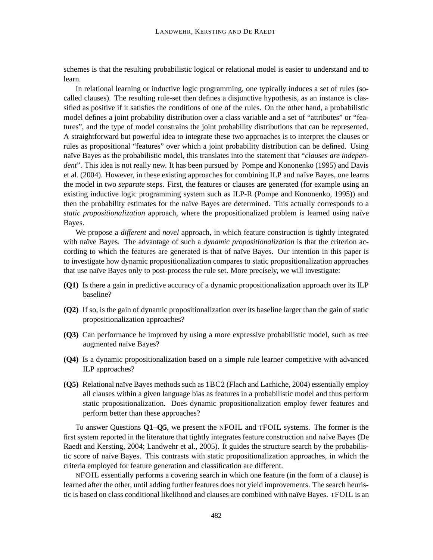schemes is that the resulting probabilistic logical or relational model is easier to understand and to learn.

In relational learning or inductive logic programming, one typically induces a set of rules (socalled clauses). The resulting rule-set then defines a disjunctive hypothesis, as an instance is classified as positive if it satisfies the conditions of one of the rules. On the other hand, a probabilistic model defines a joint probability distribution over a class variable and a set of "attributes" or "features", and the type of model constrains the joint probability distributions that can be represented. A straightforward but powerful idea to integrate these two approaches is to interpret the clauses or rules as propositional "features" over which a joint probability distribution can be defined. Using naïve Bayes as the probabilistic model, this translates into the statement that "*clauses are independent*". This idea is not really new. It has been pursued by Pompe and Kononenko (1995) and Davis et al. (2004). However, in these existing approaches for combining ILP and naïve Bayes, one learns the model in two *separate* steps. First, the features or clauses are generated (for example using an existing inductive logic programming system such as ILP-R (Pompe and Kononenko, 1995)) and then the probability estimates for the naïve Bayes are determined. This actually corresponds to a *static propositionalization* approach, where the propositionalized problem is learned using naïve Bayes.

We propose a *different* and *novel* approach, in which feature construction is tightly integrated with naïve Bayes. The advantage of such a *dynamic propositionalization* is that the criterion according to which the features are generated is that of naïve Bayes. Our intention in this paper is to investigate how dynamic propositionalization compares to static propositionalization approaches that use na¨ıve Bayes only to post-process the rule set. More precisely, we will investigate:

- **(Q1)** Is there a gain in predictive accuracy of a dynamic propositionalization approach over its ILP baseline?
- **(Q2)** If so, is the gain of dynamic propositionalization over its baseline larger than the gain of static propositionalization approaches?
- **(Q3)** Can performance be improved by using a more expressive probabilistic model, such as tree augmented naïve Bayes?
- **(Q4)** Is a dynamic propositionalization based on a simple rule learner competitive with advanced ILP approaches?
- **(Q5)** Relational naïve Bayes methods such as 1BC2 (Flach and Lachiche, 2004) essentially employ all clauses within a given language bias as features in a probabilistic model and thus perform static propositionalization. Does dynamic propositionalization employ fewer features and perform better than these approaches?

To answer Questions **Q1**–**Q5**, we present the NFOIL and TFOIL systems. The former is the first system reported in the literature that tightly integrates feature construction and naïve Bayes (De Raedt and Kersting, 2004; Landwehr et al., 2005). It guides the structure search by the probabilistic score of naïve Bayes. This contrasts with static propositionalization approaches, in which the criteria employed for feature generation and classification are different.

NFOIL essentially performs a covering search in which one feature (in the form of a clause) is learned after the other, until adding further features does not yield improvements. The search heuristic is based on class conditional likelihood and clauses are combined with naïve Bayes. TFOIL is an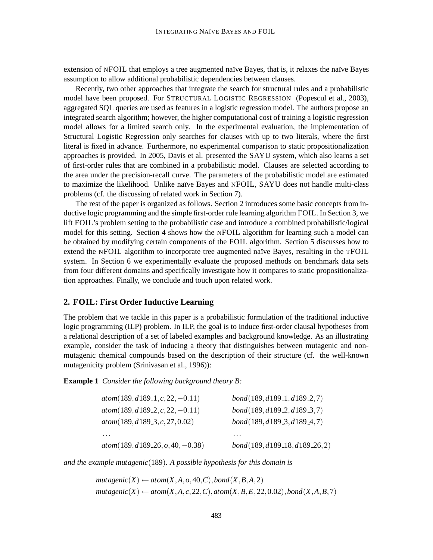extension of NFOIL that employs a tree augmented naïve Bayes, that is, it relaxes the naïve Bayes assumption to allow additional probabilistic dependencies between clauses.

Recently, two other approaches that integrate the search for structural rules and a probabilistic model have been proposed. For STRUCTURAL LOGISTIC REGRESSION (Popescul et al., 2003), aggregated SQL queries are used as features in a logistic regression model. The authors propose an integrated search algorithm; however, the higher computational cost of training a logistic regression model allows for a limited search only. In the experimental evaluation, the implementation of Structural Logistic Regression only searches for clauses with up to two literals, where the first literal is fixed in advance. Furthermore, no experimental comparison to static propositionalization approaches is provided. In 2005, Davis et al. presented the SAYU system, which also learns a set of first-order rules that are combined in a probabilistic model. Clauses are selected according to the area under the precision-recall curve. The parameters of the probabilistic model are estimated to maximize the likelihood. Unlike naïve Bayes and NFOIL, SAYU does not handle multi-class problems (cf. the discussing of related work in Section 7).

The rest of the paper is organized as follows. Section 2 introduces some basic concepts from inductive logic programming and the simple first-order rule learning algorithm FOIL. In Section 3, we lift FOIL's problem setting to the probabilistic case and introduce a combined probabilistic/logical model for this setting. Section 4 shows how the NFOIL algorithm for learning such a model can be obtained by modifying certain components of the FOIL algorithm. Section 5 discusses how to extend the NFOIL algorithm to incorporate tree augmented naïve Bayes, resulting in the TFOIL system. In Section 6 we experimentally evaluate the proposed methods on benchmark data sets from four different domains and specifically investigate how it compares to static propositionalization approaches. Finally, we conclude and touch upon related work.

#### **2. FOIL: First Order Inductive Learning**

The problem that we tackle in this paper is a probabilistic formulation of the traditional inductive logic programming (ILP) problem. In ILP, the goal is to induce first-order clausal hypotheses from a relational description of a set of labeled examples and background knowledge. As an illustrating example, consider the task of inducing a theory that distinguishes between mutagenic and nonmutagenic chemical compounds based on the description of their structure (cf. the well-known mutagenicity problem (Srinivasan et al., 1996)):

**Example 1** *Consider the following background theory B:*

| $atom(189, d189.1, c, 22, -0.11)$  | bond(189, d189.1, d189.2, 7)   |
|------------------------------------|--------------------------------|
| $atom(189, d189.2, c, 22, -0.11)$  | bond(189, d189.2, d189.3, 7)   |
| atom(189, d189.3, c, 27, 0.02)     | bond(189, d189.3, d189.4, 7)   |
|                                    |                                |
| $atom(189, d189.26, o, 40, -0.38)$ | bond(189, d189.18, d189.26, 2) |

*and the example mutagenic*(189)*. A possible hypothesis for this domain is*

 $mutagenic(X) \leftarrow atom(X, A, o, 40, C), bond(X, B, A, 2)$  $mutagenic(X) \leftarrow atom(X, A, c, 22, C), atom(X, B, E, 22, 0.02), bond(X, A, B, 7)$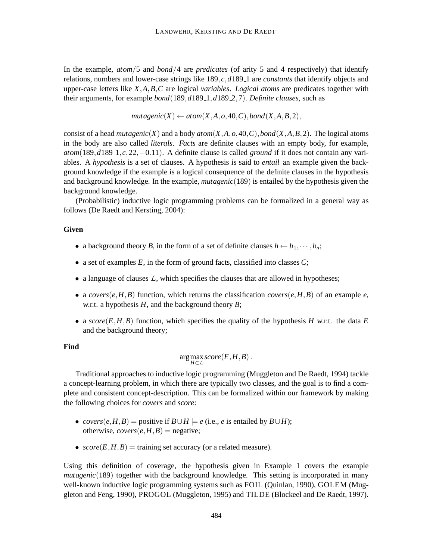In the example, *atom*/5 and *bond*/4 are *predicates* (of arity 5 and 4 respectively) that identify relations, numbers and lower-case strings like 189, *c*,*d*189 1 are *constants* that identify objects and upper-case letters like *X*,*A*,*B*,*C* are logical *variables*. *Logical atoms* are predicates together with their arguments, for example *bond*(189,*d*189 1,*d*189 2,7). *Definite clauses*, such as

 $mutagenic(X) \leftarrow atom(X, A, o, 40, C), bond(X, A, B, 2),$ 

consist of a head *mutagenic*(*X*) and a body  $atom(X, A, o, 40, C)$ ,  $bond(X, A, B, 2)$ . The logical atoms in the body are also called *literals*. *Facts* are definite clauses with an empty body, for example, *atom*(189,*d*189<sub>-1</sub>,*c*,22,−0.11). A definite clause is called *ground* if it does not contain any variables. A *hypothesis* is a set of clauses. A hypothesis is said to *entail* an example given the background knowledge if the example is a logical consequence of the definite clauses in the hypothesis and background knowledge. In the example, *mutagenic*(189) is entailed by the hypothesis given the background knowledge.

(Probabilistic) inductive logic programming problems can be formalized in a general way as follows (De Raedt and Kersting, 2004):

#### **Given**

- a background theory *B*, in the form of a set of definite clauses  $h \leftarrow b_1, \cdots, b_n$ ;
- a set of examples  $E$ , in the form of ground facts, classified into classes  $C$ ;
- a language of clauses *L*, which specifies the clauses that are allowed in hypotheses;
- a *covers*(*e*,*H*,*B*) function, which returns the classification *covers*(*e*,*H*,*B*) of an example *e*, w.r.t. a hypothesis *H*, and the background theory *B*;
- a  $score(E, H, B)$  function, which specifies the quality of the hypothesis *H* w.r.t. the data *E* and the background theory;

#### **Find**

$$
\arg\max_{H\subset\mathcal{L}} score(E, H, B) .
$$

Traditional approaches to inductive logic programming (Muggleton and De Raedt, 1994) tackle a concept-learning problem, in which there are typically two classes, and the goal is to find a complete and consistent concept-description. This can be formalized within our framework by making the following choices for *covers* and *score*:

- *covers*(*e*,*H*,*B*) = positive if  $B \cup H \models e$  (i.e., *e* is entailed by  $B \cup H$ ); otherwise,  $\textit{covers}(e, H, B) =$  negative;
- $score(E, H, B)$  = training set accuracy (or a related measure).

Using this definition of coverage, the hypothesis given in Example 1 covers the example *mutagenic*(189) together with the background knowledge. This setting is incorporated in many well-known inductive logic programming systems such as FOIL (Quinlan, 1990), GOLEM (Muggleton and Feng, 1990), PROGOL (Muggleton, 1995) and TILDE (Blockeel and De Raedt, 1997).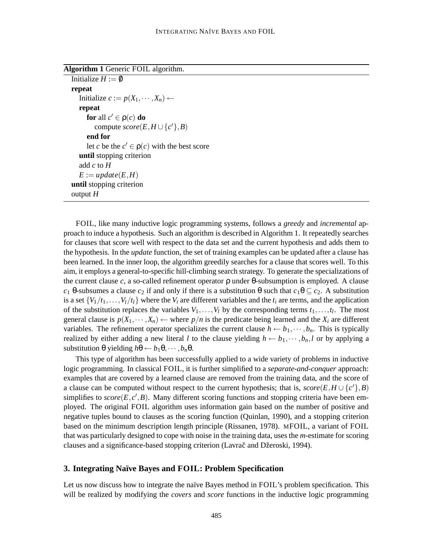**Algorithm 1** Generic FOIL algorithm.

```
Initialize H := \emptysetrepeat
  Initialize c := p(X_1, \dots, X_n) ←
  repeat
      for all c' \in \rho(c) do
        compute score(E, H \cup \{c'\}, B)end for
      let c be the c' \in \rho(c) with the best score
   until stopping criterion
   add c to H
   E := update(E, H)until stopping criterion
output H
```
FOIL, like many inductive logic programming systems, follows a *greedy* and *incremental* approach to induce a hypothesis. Such an algorithm is described in Algorithm 1. It repeatedly searches for clauses that score well with respect to the data set and the current hypothesis and adds them to the hypothesis. In the *update* function, the set of training examples can be updated after a clause has been learned. In the inner loop, the algorithm greedily searches for a clause that scores well. To this aim, it employs a general-to-specific hill-climbing search strategy. To generate the specializations of the current clause *c*, a so-called refinement operator ρ under θ-subsumption is employed. A clause *c*<sub>1</sub> θ-subsumes a clause *c*<sub>2</sub> if and only if there is a substitution θ such that  $c_1$ θ  $\subseteq$  *c*<sub>2</sub>. A substitution is a set  $\{V_1/t_1,\ldots,V_l/t_l\}$  where the  $V_i$  are different variables and the  $t_i$  are terms, and the application of the substitution replaces the variables  $V_1, \ldots, V_l$  by the corresponding terms  $t_1, \ldots, t_l$ . The most general clause is  $p(X_1, \dots, X_n) \leftarrow$  where  $p/n$  is the predicate being learned and the  $X_i$  are different variables. The refinement operator specializes the current clause  $h \leftarrow b_1, \dots, b_n$ . This is typically realized by either adding a new literal *l* to the clause yielding  $h \leftarrow b_1, \dots, b_n, l$  or by applying a substitution  $\theta$  yielding  $h\theta \leftarrow b_1\theta, \dots, b_n\theta$ .

This type of algorithm has been successfully applied to a wide variety of problems in inductive logic programming. In classical FOIL, it is further simplified to a *separate-and-conquer* approach: examples that are covered by a learned clause are removed from the training data, and the score of a clause can be computed without respect to the current hypothesis; that is,  $score(E, H \cup \{c'\}, B)$ simplifies to  $score(E, c', B)$ . Many different scoring functions and stopping criteria have been employed. The original FOIL algorithm uses information gain based on the number of positive and negative tuples bound to clauses as the scoring function (Quinlan, 1990), and a stopping criterion based on the minimum description length principle (Rissanen, 1978). MFOIL, a variant of FOIL that was particularly designed to cope with noise in the training data, uses the *m*-estimate for scoring clauses and a significance-based stopping criterion (Lavrač and Džeroski, 1994).

#### **3. Integrating Na¨ıve Bayes and FOIL: Problem Specification**

Let us now discuss how to integrate the naïve Bayes method in FOIL's problem specification. This will be realized by modifying the *covers* and *score* functions in the inductive logic programming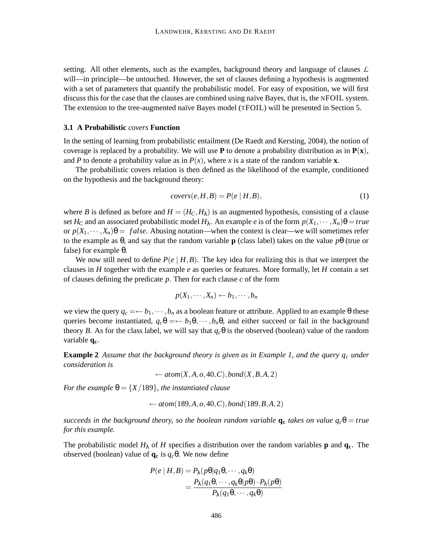setting. All other elements, such as the examples, background theory and language of clauses *L* will—in principle—be untouched. However, the set of clauses defining a hypothesis is augmented with a set of parameters that quantify the probabilistic model. For easy of exposition, we will first discuss this for the case that the clauses are combined using naïve Bayes, that is, the NFOIL system. The extension to the tree-augmented naïve Bayes model (TFOIL) will be presented in Section 5.

#### **3.1 A Probabilistic** *covers* **Function**

In the setting of learning from probabilistic entailment (De Raedt and Kersting, 2004), the notion of coverage is replaced by a probability. We will use **P** to denote a probability distribution as in  $P(x)$ , and *P* to denote a probability value as in  $P(x)$ , where *x* is a state of the random variable **x**.

The probabilistic covers relation is then defined as the likelihood of the example, conditioned on the hypothesis and the background theory:

$$
covers(e, H, B) = P(e | H, B), \tag{1}
$$

where *B* is defined as before and  $H = (H_C, H_\lambda)$  is an augmented hypothesis, consisting of a clause set *H*<sub>*C*</sub> and an associated probabilistic model *H*<sub> $\lambda$ </sub>. An example *e* is of the form  $p(X_1, \dots, X_n)\theta = true$ or  $p(X_1, \dots, X_n)\theta = false$ . Abusing notation—when the context is clear—we will sometimes refer to the example as θ, and say that the random variable **p** (class label) takes on the value *p*θ (true or false) for example θ.

We now still need to define  $P(e \mid H, B)$ . The key idea for realizing this is that we interpret the clauses in *H* together with the example *e* as queries or features. More formally, let *H* contain a set of clauses defining the predicate *p*. Then for each clause *c* of the form

$$
p(X_1,\cdots,X_n)\leftarrow b_1,\cdots,b_n
$$

we view the query  $q_c = \leftarrow b_1, \cdots, b_n$  as a boolean feature or attribute. Applied to an example  $\theta$  these queries become instantiated,  $q_c \theta = \leftarrow b_1 \theta, \dots, b_n \theta$ , and either succeed or fail in the background theory *B*. As for the class label, we will say that  $q_c\theta$  is the observed (boolean) value of the random variable **qc**.

**Example 2** Assume that the background theory is given as in Example 1, and the query  $q_c$  under *consideration is*

 $\leftarrow$  *atom*(*X*,*A*,*o*,40,*C*),*bond*(*X*,*B*,*A*,2)

*For the example*  $\theta = \{X/189\}$ *, the instantiated clause* 

← *atom*(189,*A*,*o*,40,*C*),*bond*(189,*B*,*A*,2)

*succeeds in the background theory, so the boolean random variable*  $q_c$  *takes on value*  $q_c\theta = true$ *for this example.*

The probabilistic model  $H_{\lambda}$  of *H* specifies a distribution over the random variables **p** and **q**<sub>c</sub>. The observed (boolean) value of **q<sup>c</sup>** is *qc*θ. We now define

$$
P(e | H, B) = P_{\lambda}(p\theta | q_1\theta, \cdots, q_k\theta)
$$
  
= 
$$
\frac{P_{\lambda}(q_1\theta, \cdots, q_k\theta | p\theta) \cdot P_{\lambda}(p\theta)}{P_{\lambda}(q_1\theta, \cdots, q_k\theta)}
$$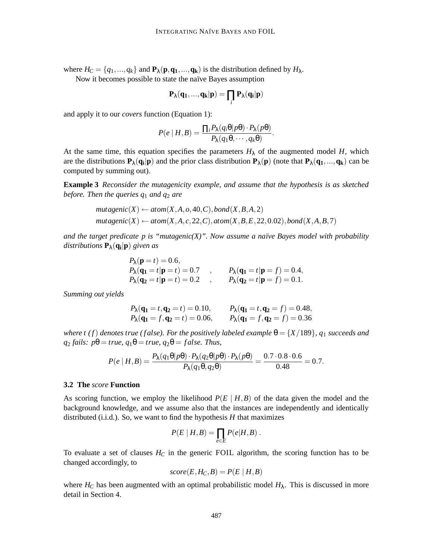where  $H_C = \{q_1, ..., q_k\}$  and  $\mathbf{P}_{\lambda}(\mathbf{p}, \mathbf{q}_1, ..., \mathbf{q}_k)$  is the distribution defined by  $H_{\lambda}$ .

Now it becomes possible to state the naïve Bayes assumption

$$
\mathbf{P}_{\lambda}(\mathbf{q}_1,...,\mathbf{q}_k|\mathbf{p})=\prod_i\mathbf{P}_{\lambda}(\mathbf{q}_i|\mathbf{p})
$$

and apply it to our *covers* function (Equation 1):

$$
P(e | H, B) = \frac{\prod_i P_{\lambda}(q_i \theta | p\theta) \cdot P_{\lambda}(p\theta)}{P_{\lambda}(q_1 \theta, \cdots, q_k \theta)}.
$$

At the same time, this equation specifies the parameters  $H_{\lambda}$  of the augmented model *H*, which are the distributions  $P_\lambda(q_i|p)$  and the prior class distribution  $P_\lambda(p)$  (note that  $P_\lambda(q_1,...,q_k)$  can be computed by summing out).

**Example 3** *Reconsider the mutagenicity example, and assume that the hypothesis is as sketched before. Then the queries q*<sup>1</sup> *and q*<sup>2</sup> *are*

$$
mutagenic(X) \leftarrow atom(X, A, o, 40, C), bond(X, B, A, 2)
$$

$$
mutagenic(X) \leftarrow atom(X, A, c, 22, C), atom(X, B, E, 22, 0.02), bond(X, A, B, 7)
$$

*and* the target predicate p is "mutagenic(X)". Now assume a naïve Bayes model with probability *distributions* **P**λ(**q<sup>i</sup>** |**p**) *given as*

$$
P_{\lambda}(\mathbf{p} = t) = 0.6,
$$
  
\n $P_{\lambda}(\mathbf{q_1} = t | \mathbf{p} = t) = 0.7$ ,  $P_{\lambda}(\mathbf{q_1} = t | \mathbf{p} = f) = 0.4,$   
\n $P_{\lambda}(\mathbf{q_2} = t | \mathbf{p} = t) = 0.2$ ,  $P_{\lambda}(\mathbf{q_2} = t | \mathbf{p} = f) = 0.1.$ 

*Summing out yields*

$$
P_{\lambda}(\mathbf{q_1} = t, \mathbf{q_2} = t) = 0.10,
$$
  $P_{\lambda}(\mathbf{q_1} = t, \mathbf{q_2} = f) = 0.48,$   
\n $P_{\lambda}(\mathbf{q_1} = f, \mathbf{q_2} = t) = 0.06,$   $P_{\lambda}(\mathbf{q_1} = f, \mathbf{q_2} = f) = 0.36$ 

*where t* (*f*) *denotes true* (*false*). *For the positively labeled example*  $\theta = \{X/189\}$ , *q*<sub>1</sub> *succeeds and*  $q_2$  *fails:*  $p\theta = true$ ,  $q_1\theta = true$ ,  $q_2\theta = false$ . *Thus,* 

$$
P(e \mid H, B) = \frac{P_{\lambda}(q_1 \theta \mid p\theta) \cdot P_{\lambda}(q_2 \theta \mid p\theta) \cdot P_{\lambda}(p\theta)}{P_{\lambda}(q_1 \theta, q_2 \theta)} = \frac{0.7 \cdot 0.8 \cdot 0.6}{0.48} = 0.7.
$$

#### **3.2 The** *score* **Function**

As scoring function, we employ the likelihood  $P(E | H, B)$  of the data given the model and the background knowledge, and we assume also that the instances are independently and identically distributed (i.i.d.). So, we want to find the hypothesis *H* that maximizes

$$
P(E | H, B) = \prod_{e \in E} P(e|H, B) .
$$

To evaluate a set of clauses  $H_C$  in the generic FOIL algorithm, the scoring function has to be changed accordingly, to

$$
score(E, H_C, B) = P(E | H, B)
$$

where  $H_C$  has been augmented with an optimal probabilistic model  $H_{\lambda}$ . This is discussed in more detail in Section 4.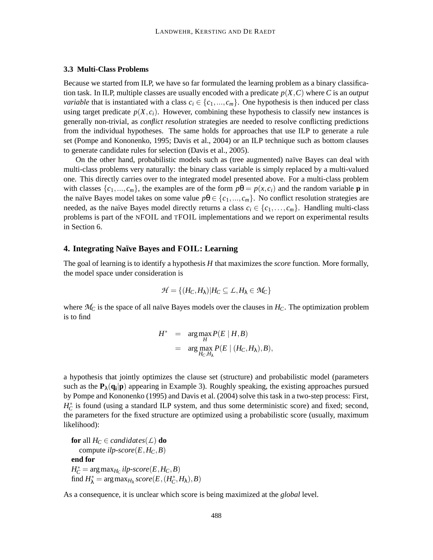#### **3.3 Multi-Class Problems**

Because we started from ILP, we have so far formulated the learning problem as a binary classification task. In ILP, multiple classes are usually encoded with a predicate  $p(X, C)$  where *C* is an *output variable* that is instantiated with a class  $c_i \in \{c_1, ..., c_m\}$ . One hypothesis is then induced per class using target predicate  $p(X, c_i)$ . However, combining these hypothesis to classify new instances is generally non-trivial, as *conflict resolution* strategies are needed to resolve conflicting predictions from the individual hypotheses. The same holds for approaches that use ILP to generate a rule set (Pompe and Kononenko, 1995; Davis et al., 2004) or an ILP technique such as bottom clauses to generate candidate rules for selection (Davis et al., 2005).

On the other hand, probabilistic models such as (tree augmented) na¨ıve Bayes can deal with multi-class problems very naturally: the binary class variable is simply replaced by a multi-valued one. This directly carries over to the integrated model presented above. For a multi-class problem with classes  $\{c_1, ..., c_m\}$ , the examples are of the form  $p\theta = p(x, c_i)$  and the random variable **p** in the naïve Bayes model takes on some value  $p\theta \in \{c_1, ..., c_m\}$ . No conflict resolution strategies are needed, as the naïve Bayes model directly returns a class  $c_i \in \{c_1, \ldots, c_m\}$ . Handling multi-class problems is part of the NFOIL and TFOIL implementations and we report on experimental results in Section 6.

# **4. Integrating Na¨ıve Bayes and FOIL: Learning**

The goal of learning is to identify a hypothesis *H* that maximizes the *score* function. More formally, the model space under consideration is

$$
\mathcal{H} = \{ (H_C, H_\lambda) | H_C \subseteq \mathcal{L}, H_\lambda \in \mathcal{M}_C \}
$$

where  $M_C$  is the space of all naïve Bayes models over the clauses in  $H_C$ . The optimization problem is to find

$$
H^* = \underset{H}{\arg \max} P(E | H, B)
$$
  
= 
$$
\underset{H_C, H_{\lambda}}{\arg \max} P(E | (H_C, H_{\lambda}), B),
$$

a hypothesis that jointly optimizes the clause set (structure) and probabilistic model (parameters such as the  $P_{\lambda}(q_i|p)$  appearing in Example 3). Roughly speaking, the existing approaches pursued by Pompe and Kononenko (1995) and Davis et al. (2004) solve this task in a two-step process: First,  $H_C^*$  is found (using a standard ILP system, and thus some deterministic score) and fixed; second, the parameters for the fixed structure are optimized using a probabilistic score (usually, maximum likelihood):

**for** all  $H_C \in candidates(L)$  **do** compute  $ilp\text{-}score(E, H_C, B)$ **end for**  $H_C^* = \arg \max_{H_C} ilp\text{-}score(E, H_C, B)$  $\text{find } H_{\lambda}^* = \arg \max_{H_{\lambda}} score(E, (H_C^*, H_{\lambda}), B)$ 

As a consequence, it is unclear which score is being maximized at the *global* level.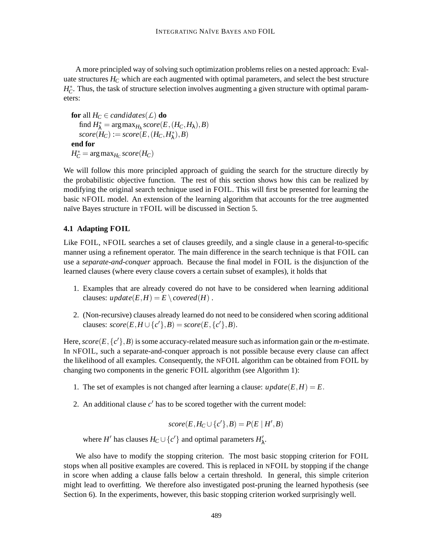A more principled way of solving such optimization problems relies on a nested approach: Evaluate structures *H<sup>C</sup>* which are each augmented with optimal parameters, and select the best structure  $H_C^*$ . Thus, the task of structure selection involves augmenting a given structure with optimal parameters:

```
for all H_C \in candidates(L) do
    \text{find } H_{\lambda}^* = \arg \max_{H_{\lambda}} score(E, (H_C, H_{\lambda}), B)score(H_C) := score(E, (H_C, H^*_{\lambda}), B)end for
H_C^* = \arg \max_{H_C} score(H_C)
```
We will follow this more principled approach of guiding the search for the structure directly by the probabilistic objective function. The rest of this section shows how this can be realized by modifying the original search technique used in FOIL. This will first be presented for learning the basic NFOIL model. An extension of the learning algorithm that accounts for the tree augmented naïve Bayes structure in TFOIL will be discussed in Section 5.

# **4.1 Adapting FOIL**

Like FOIL, NFOIL searches a set of clauses greedily, and a single clause in a general-to-specific manner using a refinement operator. The main difference in the search technique is that FOIL can use a *separate-and-conquer* approach. Because the final model in FOIL is the disjunction of the learned clauses (where every clause covers a certain subset of examples), it holds that

- 1. Examples that are already covered do not have to be considered when learning additional clauses:  $update(E, H) = E \setminus covered(H)$ .
- 2. (Non-recursive) clauses already learned do not need to be considered when scoring additional clauses:  $score(E, H \cup \{c'\}, B) = score(E, \{c'\}, B).$

Here,  $score(E, \{c'\}, B)$  is some accuracy-related measure such as information gain or the *m*-estimate. In NFOIL, such a separate-and-conquer approach is not possible because every clause can affect the likelihood of all examples. Consequently, the NFOIL algorithm can be obtained from FOIL by changing two components in the generic FOIL algorithm (see Algorithm 1):

- 1. The set of examples is not changed after learning a clause:  $update(E, H) = E$ .
- 2. An additional clause  $c'$  has to be scored together with the current model:

$$
score(E, H_C \cup \{c'\}, B) = P(E \mid H', B)
$$

where *H'* has clauses  $H_C \cup \{c'\}$  and optimal parameters  $H'_{\lambda}$ .

We also have to modify the stopping criterion. The most basic stopping criterion for FOIL stops when all positive examples are covered. This is replaced in NFOIL by stopping if the change in score when adding a clause falls below a certain threshold. In general, this simple criterion might lead to overfitting. We therefore also investigated post-pruning the learned hypothesis (see Section 6). In the experiments, however, this basic stopping criterion worked surprisingly well.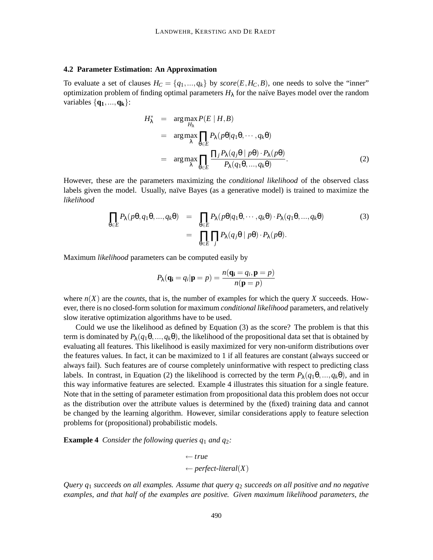#### **4.2 Parameter Estimation: An Approximation**

To evaluate a set of clauses  $H_C = \{q_1, ..., q_k\}$  by  $score(E, H_C, B)$ , one needs to solve the "inner" optimization problem of finding optimal parameters  $H_{\lambda}$  for the naïve Bayes model over the random variables  $\{q_1, ..., q_k\}$ :

$$
H_{\lambda}^{*} = \arg \max_{H_{\lambda}} P(E | H, B)
$$
  
= 
$$
\arg \max_{\lambda} \prod_{\theta \in E} P_{\lambda}(p\theta | q_{1}\theta, \cdots, q_{k}\theta)
$$
  
= 
$$
\arg \max_{\lambda} \prod_{\theta \in E} \frac{\prod_{j} P_{\lambda}(q_{j}\theta | p\theta) \cdot P_{\lambda}(p\theta)}{P_{\lambda}(q_{1}\theta, \ldots, q_{k}\theta)}.
$$
 (2)

However, these are the parameters maximizing the *conditional likelihood* of the observed class labels given the model. Usually, naïve Bayes (as a generative model) is trained to maximize the *likelihood*

$$
\prod_{\theta \in E} P_{\lambda}(p\theta, q_1\theta, ..., q_k\theta) = \prod_{\theta \in E} P_{\lambda}(p\theta|q_1\theta, ..., q_k\theta) \cdot P_{\lambda}(q_1\theta, ..., q_k\theta)
$$
\n
$$
= \prod_{\theta \in E} \prod_j P_{\lambda}(q_j\theta | p\theta) \cdot P_{\lambda}(p\theta).
$$
\n(3)

Maximum *likelihood* parameters can be computed easily by

$$
P_{\lambda}(\mathbf{q_i} = q_i | \mathbf{p} = p) = \frac{n(\mathbf{q_i} = q_i, \mathbf{p} = p)}{n(\mathbf{p} = p)}
$$

where  $n(X)$  are the *counts*, that is, the number of examples for which the query X succeeds. However, there is no closed-form solution for maximum *conditional likelihood* parameters, and relatively slow iterative optimization algorithms have to be used.

Could we use the likelihood as defined by Equation (3) as the score? The problem is that this term is dominated by  $P_{\lambda}(q_1\theta,...,q_k\theta)$ , the likelihood of the propositional data set that is obtained by evaluating all features. This likelihood is easily maximized for very non-uniform distributions over the features values. In fact, it can be maximized to 1 if all features are constant (always succeed or always fail). Such features are of course completely uninformative with respect to predicting class labels. In contrast, in Equation (2) the likelihood is corrected by the term  $P_{\lambda}(q_1\theta,...,q_k\theta)$ , and in this way informative features are selected. Example 4 illustrates this situation for a single feature. Note that in the setting of parameter estimation from propositional data this problem does not occur as the distribution over the attribute values is determined by the (fixed) training data and cannot be changed by the learning algorithm. However, similar considerations apply to feature selection problems for (propositional) probabilistic models.

**Example 4** *Consider the following queries q*<sup>1</sup> *and q*2*:*

$$
\leftarrow true
$$
  

$$
\leftarrow perfect\text{-}literal(X)
$$

*Query q*<sup>1</sup> *succeeds on all examples. Assume that query q*<sup>2</sup> *succeeds on all positive and no negative examples, and that half of the examples are positive. Given maximum likelihood parameters, the*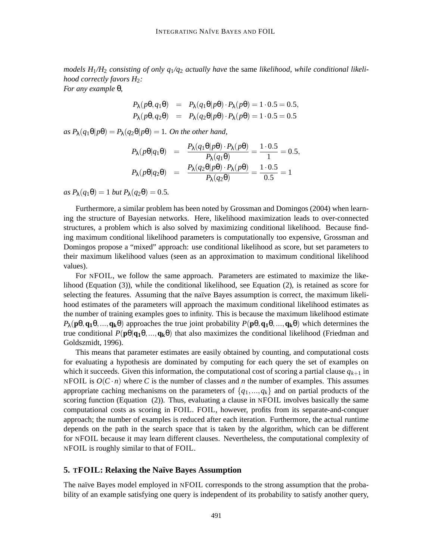*models H*1*/H*<sup>2</sup> *consisting of only q*1*/q*<sup>2</sup> *actually have* the same *likelihood, while conditional likelihood correctly favors H*2*:*

*For any example* θ*,*

$$
P_{\lambda}(p\theta, q_1\theta) = P_{\lambda}(q_1\theta|p\theta) \cdot P_{\lambda}(p\theta) = 1 \cdot 0.5 = 0.5,
$$
  

$$
P_{\lambda}(p\theta, q_2\theta) = P_{\lambda}(q_2\theta|p\theta) \cdot P_{\lambda}(p\theta) = 1 \cdot 0.5 = 0.5
$$

 $as P_{\lambda}(q_1\theta|p\theta) = P_{\lambda}(q_2\theta|p\theta) = 1$ *. On the other hand,* 

$$
P_{\lambda}(p\theta|q_1\theta) = \frac{P_{\lambda}(q_1\theta|p\theta) \cdot P_{\lambda}(p\theta)}{P_{\lambda}(q_1\theta)} = \frac{1 \cdot 0.5}{1} = 0.5,
$$
  

$$
P_{\lambda}(p\theta|q_2\theta) = \frac{P_{\lambda}(q_2\theta|p\theta) \cdot P_{\lambda}(p\theta)}{P_{\lambda}(q_2\theta)} = \frac{1 \cdot 0.5}{0.5} = 1
$$

 $as P_{\lambda}(q_1\theta) = 1$  *but*  $P_{\lambda}(q_2\theta) = 0.5$ *.* 

Furthermore, a similar problem has been noted by Grossman and Domingos (2004) when learning the structure of Bayesian networks. Here, likelihood maximization leads to over-connected structures, a problem which is also solved by maximizing conditional likelihood. Because finding maximum conditional likelihood parameters is computationally too expensive, Grossman and Domingos propose a "mixed" approach: use conditional likelihood as score, but set parameters to their maximum likelihood values (seen as an approximation to maximum conditional likelihood values).

For NFOIL, we follow the same approach. Parameters are estimated to maximize the likelihood (Equation (3)), while the conditional likelihood, see Equation (2), is retained as score for selecting the features. Assuming that the naïve Bayes assumption is correct, the maximum likelihood estimates of the parameters will approach the maximum conditional likelihood estimates as the number of training examples goes to infinity. This is because the maximum likelihood estimate  $P_{\lambda}(\mathbf{p}\theta, \mathbf{q}_1\theta, \dots, \mathbf{q}_k\theta)$  approaches the true joint probability  $P(\mathbf{p}\theta, \mathbf{q}_1\theta, \dots, \mathbf{q}_k\theta)$  which determines the true conditional  $P(\mathbf{p}\theta|\mathbf{q}_1\theta,...,\mathbf{q}_k\theta)$  that also maximizes the conditional likelihood (Friedman and Goldszmidt, 1996).

This means that parameter estimates are easily obtained by counting, and computational costs for evaluating a hypothesis are dominated by computing for each query the set of examples on which it succeeds. Given this information, the computational cost of scoring a partial clause  $q_{k+1}$  in NFOIL is  $O(C \cdot n)$  where *C* is the number of classes and *n* the number of examples. This assumes appropriate caching mechanisms on the parameters of  $\{q_1, ..., q_k\}$  and on partial products of the scoring function (Equation (2)). Thus, evaluating a clause in NFOIL involves basically the same computational costs as scoring in FOIL. FOIL, however, profits from its separate-and-conquer approach; the number of examples is reduced after each iteration. Furthermore, the actual runtime depends on the path in the search space that is taken by the algorithm, which can be different for NFOIL because it may learn different clauses. Nevertheless, the computational complexity of NFOIL is roughly similar to that of FOIL.

#### **5. TFOIL: Relaxing the Na¨ıve Bayes Assumption**

The naïve Bayes model employed in NFOIL corresponds to the strong assumption that the probability of an example satisfying one query is independent of its probability to satisfy another query,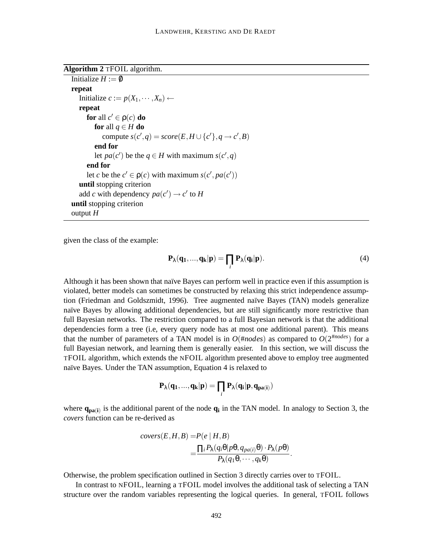**Algorithm 2** TFOIL algorithm.

```
Initialize H := \emptysetrepeat
   Initialize c := p(X_1, \dots, X_n) \leftarrowrepeat
      for all c' \in \rho(c) do
         for all q \in H do
            \text{compute } s(c', q) = \text{score}(E, H \cup \{c'\}, q \rightarrow c', B)end for
         let pa(c') be the q \in H with maximum s(c', q)end for
      let c be the c' \in \rho(c) with maximum s(c', pa(c'))until stopping criterion
   add c with dependency pa(c') \rightarrow c' to H
until stopping criterion
output H
```
given the class of the example:

$$
\mathbf{P}_{\lambda}(\mathbf{q_1},...,\mathbf{q_k}|\mathbf{p}) = \prod_i \mathbf{P}_{\lambda}(\mathbf{q_i}|\mathbf{p}).
$$
\n(4)

Although it has been shown that naïve Bayes can perform well in practice even if this assumption is violated, better models can sometimes be constructed by relaxing this strict independence assumption (Friedman and Goldszmidt, 1996). Tree augmented naïve Bayes (TAN) models generalize naïve Bayes by allowing additional dependencies, but are still significantly more restrictive than full Bayesian networks. The restriction compared to a full Bayesian network is that the additional dependencies form a tree (i.e, every query node has at most one additional parent). This means that the number of parameters of a TAN model is in  $O(\text{#nodes})$  as compared to  $O(2^{\text{#nodes}})$  for a full Bayesian network, and learning them is generally easier. In this section, we will discuss the TFOIL algorithm, which extends the NFOIL algorithm presented above to employ tree augmented naïve Bayes. Under the TAN assumption, Equation 4 is relaxed to

$$
P_{\lambda}(q_1,...,q_k|p)=\prod_i P_{\lambda}(q_i|p,q_{pa(i)})
$$

where  $\mathbf{q}_{pa(i)}$  is the additional parent of the node  $\mathbf{q}_i$  in the TAN model. In analogy to Section 3, the *covers* function can be re-derived as

$$
covers(E, H, B) = P(e | H, B)
$$
  
= 
$$
\frac{\prod_i P_{\lambda}(q_i \theta | p\theta, q_{pa(i)}\theta) \cdot P_{\lambda}(p\theta)}{P_{\lambda}(q_1 \theta, \cdots, q_k \theta)}.
$$

Otherwise, the problem specification outlined in Section 3 directly carries over to TFOIL.

In contrast to NFOIL, learning a TFOIL model involves the additional task of selecting a TAN structure over the random variables representing the logical queries. In general, TFOIL follows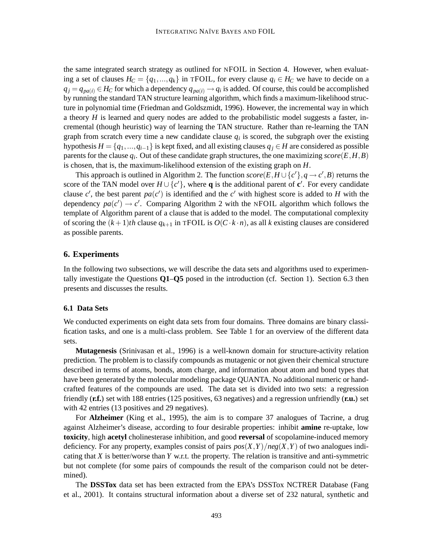the same integrated search strategy as outlined for NFOIL in Section 4. However, when evaluating a set of clauses  $H_C = \{q_1, ..., q_k\}$  in TFOIL, for every clause  $q_i \in H_C$  we have to decide on a  $q_j = q_{pa(i)} \in H_C$  for which a dependency  $q_{pa(i)} \to q_i$  is added. Of course, this could be accomplished by running the standard TAN structure learning algorithm, which finds a maximum-likelihood structure in polynomial time (Friedman and Goldszmidt, 1996). However, the incremental way in which a theory *H* is learned and query nodes are added to the probabilistic model suggests a faster, incremental (though heuristic) way of learning the TAN structure. Rather than re-learning the TAN graph from scratch every time a new candidate clause  $q_i$  is scored, the subgraph over the existing hypothesis  $H = \{q_1, ..., q_{i-1}\}\$ is kept fixed, and all existing clauses  $q_i \in H$  are considered as possible parents for the clause  $q_i$ . Out of these candidate graph structures, the one maximizing  $score(E, H, B)$ is chosen, that is, the maximum-likelihood extension of the existing graph on *H*.

This approach is outlined in Algorithm 2. The function  $score(E, H \cup \{c'\}, q \rightarrow c', B)$  returns the score of the TAN model over  $H \cup \{c\}$ , where **q** is the additional parent of **c**'. For every candidate clause  $c'$ , the best parent  $pa(c')$  is identified and the  $c'$  with highest score is added to *H* with the dependency  $pa(c') \rightarrow c'$ . Comparing Algorithm 2 with the NFOIL algorithm which follows the template of Algorithm parent of a clause that is added to the model. The computational complexity of scoring the  $(k+1)$ *th* clause  $q_{k+1}$  in TFOIL is  $O(C \cdot k \cdot n)$ , as all *k* existing clauses are considered as possible parents.

#### **6. Experiments**

In the following two subsections, we will describe the data sets and algorithms used to experimentally investigate the Questions **Q1**–**Q5** posed in the introduction (cf. Section 1). Section 6.3 then presents and discusses the results.

#### **6.1 Data Sets**

We conducted experiments on eight data sets from four domains. Three domains are binary classification tasks, and one is a multi-class problem. See Table 1 for an overview of the different data sets.

**Mutagenesis** (Srinivasan et al., 1996) is a well-known domain for structure-activity relation prediction. The problem is to classify compounds as mutagenic or not given their chemical structure described in terms of atoms, bonds, atom charge, and information about atom and bond types that have been generated by the molecular modeling package QUANTA. No additional numeric or handcrafted features of the compounds are used. The data set is divided into two sets: a regression friendly (**r.f.**) set with 188 entries (125 positives, 63 negatives) and a regression unfriendly (**r.u.**) set with 42 entries (13 positives and 29 negatives).

For **Alzheimer** (King et al., 1995), the aim is to compare 37 analogues of Tacrine, a drug against Alzheimer's disease, according to four desirable properties: inhibit **amine** re-uptake, low **toxicity**, high **acetyl** cholinesterase inhibition, and good **reversal** of scopolamine-induced memory deficiency. For any property, examples consist of pairs  $pos(X, Y)/neg(X, Y)$  of two analogues indicating that *X* is better/worse than *Y* w.r.t. the property. The relation is transitive and anti-symmetric but not complete (for some pairs of compounds the result of the comparison could not be determined).

The **DSSTox** data set has been extracted from the EPA's DSSTox NCTRER Database (Fang et al., 2001). It contains structural information about a diverse set of 232 natural, synthetic and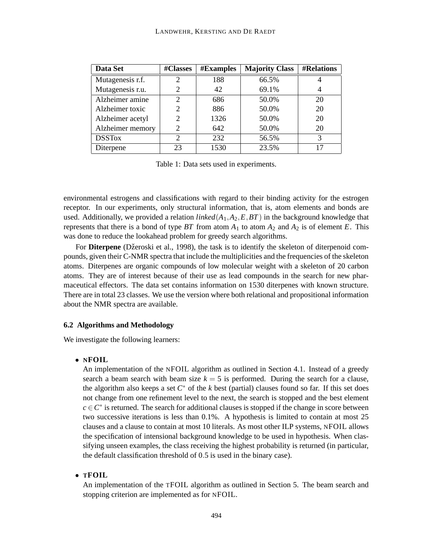| Data Set         | #Classes       | <b>#Examples</b> | <b>Majority Class</b> | <b>#Relations</b> |
|------------------|----------------|------------------|-----------------------|-------------------|
| Mutagenesis r.f. | $\overline{2}$ | 188              | 66.5%                 |                   |
| Mutagenesis r.u. | 2              | 42               | 69.1%                 | 4                 |
| Alzheimer amine  | 2              | 686              | 50.0%                 | 20                |
| Alzheimer toxic  | 2              | 886              | 50.0%                 | 20                |
| Alzheimer acetyl | 2              | 1326             | 50.0%                 | 20                |
| Alzheimer memory | 2              | 642              | 50.0%                 | 20                |
| <b>DSSTox</b>    | $\overline{2}$ | 232              | 56.5%                 | 3                 |
| Diterpene        | 23             | 1530             | 23.5%                 | 17                |

Table 1: Data sets used in experiments.

environmental estrogens and classifications with regard to their binding activity for the estrogen receptor. In our experiments, only structural information, that is, atom elements and bonds are used. Additionally, we provided a relation *linked*(*A*1,*A*2,*E*,*BT*) in the background knowledge that represents that there is a bond of type  $BT$  from atom  $A_1$  to atom  $A_2$  and  $A_2$  is of element  $E$ . This was done to reduce the lookahead problem for greedy search algorithms.

For Diterpene (Džeroski et al., 1998), the task is to identify the skeleton of diterpenoid compounds, given their C-NMR spectra that include the multiplicities and the frequencies of the skeleton atoms. Diterpenes are organic compounds of low molecular weight with a skeleton of 20 carbon atoms. They are of interest because of their use as lead compounds in the search for new pharmaceutical effectors. The data set contains information on 1530 diterpenes with known structure. There are in total 23 classes. We use the version where both relational and propositional information about the NMR spectra are available.

#### **6.2 Algorithms and Methodology**

We investigate the following learners:

#### • **NFOIL**

An implementation of the NFOIL algorithm as outlined in Section 4.1. Instead of a greedy search a beam search with beam size  $k = 5$  is performed. During the search for a clause, the algorithm also keeps a set  $C^*$  of the  $k$  best (partial) clauses found so far. If this set does not change from one refinement level to the next, the search is stopped and the best element  $c \in \mathbb{C}^*$  is returned. The search for additional clauses is stopped if the change in score between two successive iterations is less than 0.1%. A hypothesis is limited to contain at most 25 clauses and a clause to contain at most 10 literals. As most other ILP systems, NFOIL allows the specification of intensional background knowledge to be used in hypothesis. When classifying unseen examples, the class receiving the highest probability is returned (in particular, the default classification threshold of 0.5 is used in the binary case).

# • **TFOIL**

An implementation of the TFOIL algorithm as outlined in Section 5. The beam search and stopping criterion are implemented as for NFOIL.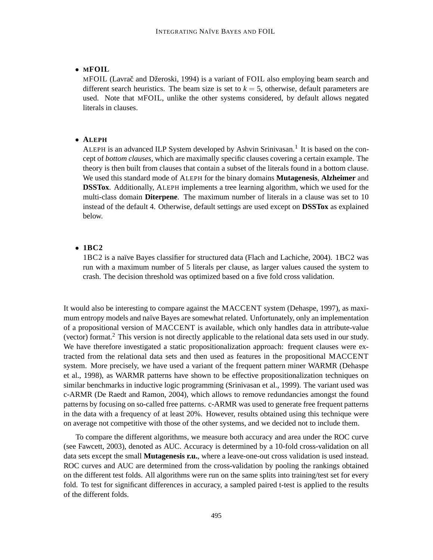# • **MFOIL**

MFOIL (Lavrac̆ and Džeroski, 1994) is a variant of FOIL also employing beam search and different search heuristics. The beam size is set to  $k = 5$ , otherwise, default parameters are used. Note that MFOIL, unlike the other systems considered, by default allows negated literals in clauses.

#### • **ALEPH**

ALEPH is an advanced ILP System developed by Ashvin Srinivasan.<sup>1</sup> It is based on the concept of *bottom clauses*, which are maximally specific clauses covering a certain example. The theory is then built from clauses that contain a subset of the literals found in a bottom clause. We used this standard mode of ALEPH for the binary domains **Mutagenesis**, **Alzheimer** and **DSSTox**. Additionally, ALEPH implements a tree learning algorithm, which we used for the multi-class domain **Diterpene**. The maximum number of literals in a clause was set to 10 instead of the default 4. Otherwise, default settings are used except on **DSSTox** as explained below.

#### • **1BC2**

1BC2 is a na¨ıve Bayes classifier for structured data (Flach and Lachiche, 2004). 1BC2 was run with a maximum number of 5 literals per clause, as larger values caused the system to crash. The decision threshold was optimized based on a five fold cross validation.

It would also be interesting to compare against the MACCENT system (Dehaspe, 1997), as maximum entropy models and naïve Bayes are somewhat related. Unfortunately, only an implementation of a propositional version of MACCENT is available, which only handles data in attribute-value (vector) format.<sup>2</sup> This version is not directly applicable to the relational data sets used in our study. We have therefore investigated a static propositionalization approach: frequent clauses were extracted from the relational data sets and then used as features in the propositional MACCENT system. More precisely, we have used a variant of the frequent pattern miner WARMR (Dehaspe et al., 1998), as WARMR patterns have shown to be effective propositionalization techniques on similar benchmarks in inductive logic programming (Srinivasan et al., 1999). The variant used was c-ARMR (De Raedt and Ramon, 2004), which allows to remove redundancies amongst the found patterns by focusing on so-called free patterns. c-ARMR was used to generate free frequent patterns in the data with a frequency of at least 20%. However, results obtained using this technique were on average not competitive with those of the other systems, and we decided not to include them.

To compare the different algorithms, we measure both accuracy and area under the ROC curve (see Fawcett, 2003), denoted as AUC. Accuracy is determined by a 10-fold cross-validation on all data sets except the small **Mutagenesis r.u.**, where a leave-one-out cross validation is used instead. ROC curves and AUC are determined from the cross-validation by pooling the rankings obtained on the different test folds. All algorithms were run on the same splits into training/test set for every fold. To test for significant differences in accuracy, a sampled paired t-test is applied to the results of the different folds.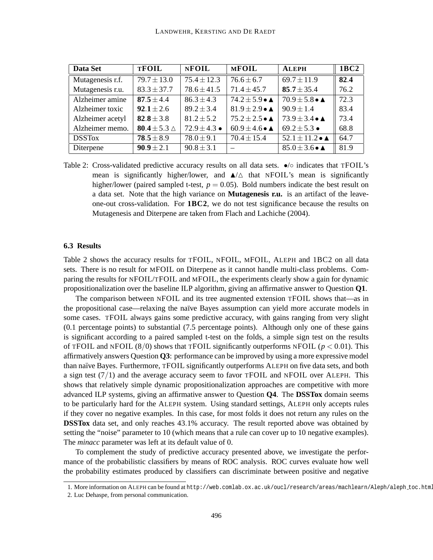| Data Set         | <b>TFOIL</b>               | <b>NFOIL</b>     | <b>MFOIL</b>                     | <b>ALEPH</b>                               | 1BC <sub>2</sub> |
|------------------|----------------------------|------------------|----------------------------------|--------------------------------------------|------------------|
| Mutagenesis r.f. | $79.7 \pm 13.0$            | $75.4 \pm 12.3$  | $\overline{76.6} \pm 6.7$        | $69.7 \pm 11.9$                            | 82.4             |
| Mutagenesis r.u. | $83.3 \pm 37.7$            | $78.6 \pm 41.5$  | $71.4 \pm 45.7$                  | 85.7 $\pm$ 35.4                            | 76.2             |
| Alzheimer amine  | $87.5 \pm 4.4$             | $86.3 \pm 4.3$   | $74.2 \pm 5.9 \bullet \triangle$ | $70.9 \pm 5.8 \bullet \triangle$           | 72.3             |
| Alzheimer toxic  | $92.1 \pm 2.6$             | $89.2 \pm 3.4$   | $81.9 \pm 2.9 \bullet \triangle$ | $90.9 \pm 1.4$                             | 83.4             |
| Alzheimer acetyl | $82.8 \pm 3.8$             | $81.2 \pm 5.2$   | $75.2 \pm 2.5 \bullet \triangle$ | $73.9 \pm 3.4 \bullet \triangle$           | 73.4             |
| Alzheimer memo.  | 80.4 $\pm$ 5.3 $\triangle$ | $72.9 \pm 4.3$ • | $60.9 \pm 4.6 \bullet \triangle$ | $69.2 \pm 5.3$ $\bullet$                   | 68.8             |
| <b>DSSTox</b>    | $78.5 \pm 8.9$             | $78.0 \pm 9.1$   | $70.4 \pm 15.4$                  | 52.1 $\pm$ 11.2 $\bullet$ $\blacktriangle$ | 64.7             |
| Diterpene        | $90.9 \pm 2.1$             | $90.8 \pm 3.1$   |                                  | $85.0 \pm 3.6 \bullet \triangle$           | 81.9             |

Table 2: Cross-validated predictive accuracy results on all data sets.  $\bullet$  /◦ indicates that TFOIL's mean is significantly higher/lower, and  $\triangle/\triangle$  that NFOIL's mean is significantly higher/lower (paired sampled t-test,  $p = 0.05$ ). Bold numbers indicate the best result on a data set. Note that the high variance on **Mutagenesis r.u.** is an artifact of the leaveone-out cross-validation. For **1BC2**, we do not test significance because the results on Mutagenesis and Diterpene are taken from Flach and Lachiche (2004).

#### **6.3 Results**

Table 2 shows the accuracy results for TFOIL, NFOIL, MFOIL, ALEPH and 1BC2 on all data sets. There is no result for MFOIL on Diterpene as it cannot handle multi-class problems. Comparing the results for NFOIL/TFOIL and MFOIL, the experiments clearly show a gain for dynamic propositionalization over the baseline ILP algorithm, giving an affirmative answer to Question **Q1**.

The comparison between NFOIL and its tree augmented extension TFOIL shows that—as in the propositional case—relaxing the naïve Bayes assumption can yield more accurate models in some cases. TFOIL always gains some predictive accuracy, with gains ranging from very slight (0.1 percentage points) to substantial (7.5 percentage points). Although only one of these gains is significant according to a paired sampled t-test on the folds, a simple sign test on the results of TFOIL and NFOIL  $(8/0)$  shows that TFOIL significantly outperforms NFOIL ( $p < 0.01$ ). This affirmatively answers Question **Q3**: performance can be improved by using a more expressive model than naïve Bayes. Furthermore, TFOIL significantly outperforms ALEPH on five data sets, and both a sign test  $(7/1)$  and the average accuracy seem to favor TFOIL and NFOIL over ALEPH. This shows that relatively simple dynamic propositionalization approaches are competitive with more advanced ILP systems, giving an affirmative answer to Question **Q4**. The **DSSTox** domain seems to be particularly hard for the ALEPH system. Using standard settings, ALEPH only accepts rules if they cover no negative examples. In this case, for most folds it does not return any rules on the **DSSTox** data set, and only reaches 43.1% accuracy. The result reported above was obtained by setting the "noise" parameter to 10 (which means that a rule can cover up to 10 negative examples). The *minacc* parameter was left at its default value of 0.

To complement the study of predictive accuracy presented above, we investigate the performance of the probabilistic classifiers by means of ROC analysis. ROC curves evaluate how well the probability estimates produced by classifiers can discriminate between positive and negative

<sup>1.</sup> More information on ALEPH can be found at http://web.comlab.ox.ac.uk/oucl/research/areas/machlearn/Aleph/aleph toc.html.

<sup>2.</sup> Luc Dehaspe, from personal communication.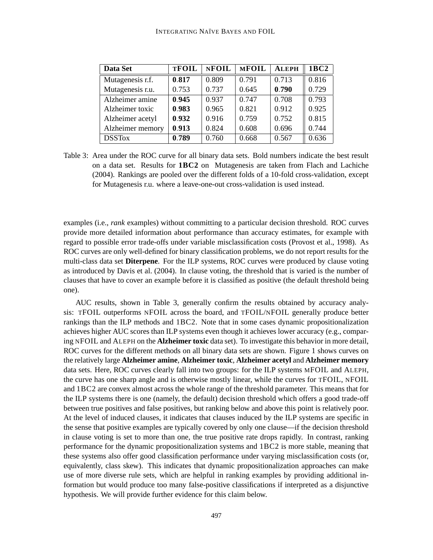| Data Set         | <b>TFOIL</b> | <b>NFOIL</b> | <b>MFOIL</b> | <b>ALEPH</b> | 1BC <sub>2</sub> |
|------------------|--------------|--------------|--------------|--------------|------------------|
| Mutagenesis r.f. | 0.817        | 0.809        | 0.791        | 0.713        | 0.816            |
| Mutagenesis r.u. | 0.753        | 0.737        | 0.645        | 0.790        | 0.729            |
| Alzheimer amine  | 0.945        | 0.937        | 0.747        | 0.708        | 0.793            |
| Alzheimer toxic  | 0.983        | 0.965        | 0.821        | 0.912        | 0.925            |
| Alzheimer acetyl | 0.932        | 0.916        | 0.759        | 0.752        | 0.815            |
| Alzheimer memory | 0.913        | 0.824        | 0.608        | 0.696        | 0.744            |
| <b>DSSTox</b>    | 0.789        | 0.760        | 0.668        | 0.567        | 0.636            |

Table 3: Area under the ROC curve for all binary data sets. Bold numbers indicate the best result on a data set. Results for **1BC2** on Mutagenesis are taken from Flach and Lachiche (2004). Rankings are pooled over the different folds of a 10-fold cross-validation, except for Mutagenesis r.u. where a leave-one-out cross-validation is used instead.

examples (i.e., *rank* examples) without committing to a particular decision threshold. ROC curves provide more detailed information about performance than accuracy estimates, for example with regard to possible error trade-offs under variable misclassification costs (Provost et al., 1998). As ROC curves are only well-defined for binary classification problems, we do not report results for the multi-class data set **Diterpene**. For the ILP systems, ROC curves were produced by clause voting as introduced by Davis et al. (2004). In clause voting, the threshold that is varied is the number of clauses that have to cover an example before it is classified as positive (the default threshold being one).

AUC results, shown in Table 3, generally confirm the results obtained by accuracy analysis: TFOIL outperforms NFOIL across the board, and TFOIL/NFOIL generally produce better rankings than the ILP methods and 1BC2. Note that in some cases dynamic propositionalization achieves higher AUC scores than ILP systems even though it achieves lower accuracy (e.g., comparing NFOIL and ALEPH on the **Alzheimer toxic** data set). To investigate this behavior in more detail, ROC curves for the different methods on all binary data sets are shown. Figure 1 shows curves on the relatively large **Alzheimer amine**, **Alzheimer toxic**, **Alzheimer acetyl** and **Alzheimer memory** data sets. Here, ROC curves clearly fall into two groups: for the ILP systems MFOIL and ALEPH, the curve has one sharp angle and is otherwise mostly linear, while the curves for TFOIL, NFOIL and 1BC2 are convex almost across the whole range of the threshold parameter. This means that for the ILP systems there is one (namely, the default) decision threshold which offers a good trade-off between true positives and false positives, but ranking below and above this point is relatively poor. At the level of induced clauses, it indicates that clauses induced by the ILP systems are specific in the sense that positive examples are typically covered by only one clause—if the decision threshold in clause voting is set to more than one, the true positive rate drops rapidly. In contrast, ranking performance for the dynamic propositionalization systems and 1BC2 is more stable, meaning that these systems also offer good classification performance under varying misclassification costs (or, equivalently, class skew). This indicates that dynamic propositionalization approaches can make use of more diverse rule sets, which are helpful in ranking examples by providing additional information but would produce too many false-positive classifications if interpreted as a disjunctive hypothesis. We will provide further evidence for this claim below.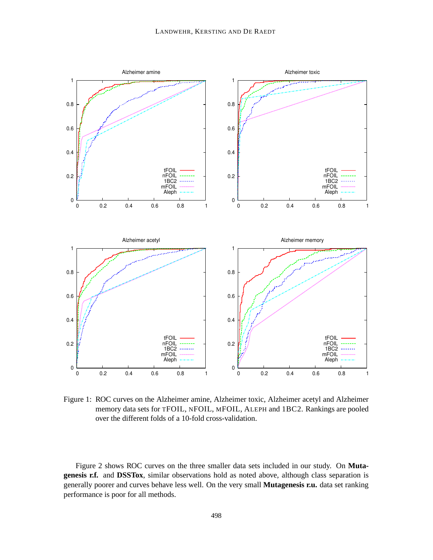

Figure 1: ROC curves on the Alzheimer amine, Alzheimer toxic, Alzheimer acetyl and Alzheimer memory data sets for TFOIL, NFOIL, MFOIL, ALEPH and 1BC2. Rankings are pooled over the different folds of a 10-fold cross-validation.

Figure 2 shows ROC curves on the three smaller data sets included in our study. On **Mutagenesis r.f.** and **DSSTox**, similar observations hold as noted above, although class separation is generally poorer and curves behave less well. On the very small **Mutagenesis r.u.** data set ranking performance is poor for all methods.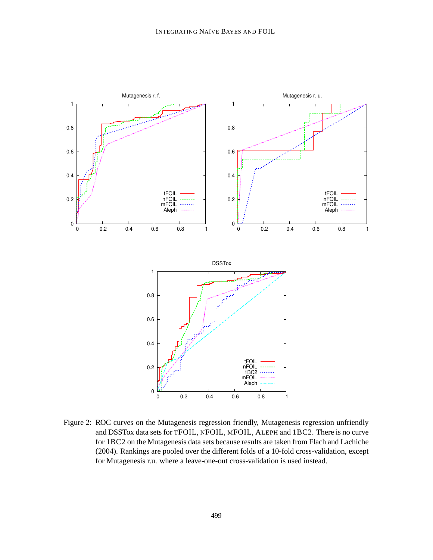

Figure 2: ROC curves on the Mutagenesis regression friendly, Mutagenesis regression unfriendly and DSSTox data sets for TFOIL, NFOIL, MFOIL, ALEPH and 1BC2. There is no curve for 1BC2 on the Mutagenesis data sets because results are taken from Flach and Lachiche (2004). Rankings are pooled over the different folds of a 10-fold cross-validation, except for Mutagenesis r.u. where a leave-one-out cross-validation is used instead.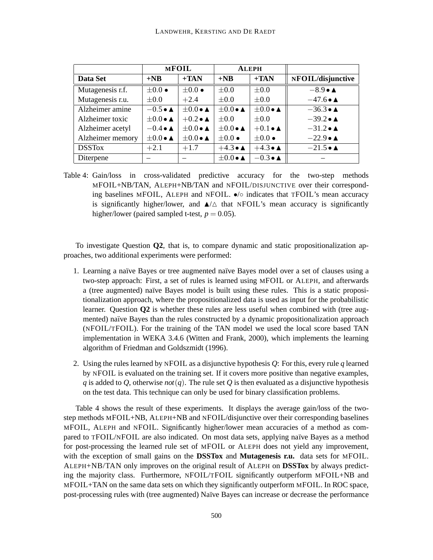|                  | <b>MFOIL</b>                     |                                  | <b>ALEPH</b>                     |                                  |                           |
|------------------|----------------------------------|----------------------------------|----------------------------------|----------------------------------|---------------------------|
| Data Set         | $+NB$                            | $+TAN$                           | $+NB$                            | $+TAN$                           | NFOIL/disjunctive         |
| Mutagenesis r.f. | $\pm 0.0 \bullet$                | $\pm 0.0 \bullet$                | $\pm 0.0$                        | $\pm 0.0$                        | $-8.9 \bullet \triangle$  |
| Mutagenesis r.u. | $\pm 0.0$                        | $+2.4$                           | $\pm 0.0$                        | $\pm 0.0$                        | $-47.6 \bullet \triangle$ |
| Alzheimer amine  | $-0.5 \bullet \triangle$         | $\pm 0.0 \bullet \blacktriangle$ | $\pm 0.0 \bullet \blacktriangle$ | $\pm 0.0 \bullet \blacktriangle$ | $-36.3 \bullet \triangle$ |
| Alzheimer toxic  | $\pm 0.0 \bullet \blacktriangle$ | $+0.2 \bullet \triangle$         | $\pm 0.0$                        | $\pm 0.0$                        | $-39.2 \bullet \triangle$ |
| Alzheimer acetyl | $-0.4 \bullet \triangle$         | $\pm 0.0 \bullet \blacktriangle$ | $\pm 0.0 \bullet \blacktriangle$ | $+0.1 \bullet \triangle$         | $-31.2 \bullet \triangle$ |
| Alzheimer memory | $\pm 0.0 \bullet \blacktriangle$ | $\pm 0.0 \bullet \blacktriangle$ | $\pm 0.0 \bullet$                | $\pm 0.0 \bullet$                | $-22.9 \bullet \triangle$ |
| <b>DSSTox</b>    | $+2.1$                           | $+1.7$                           | $+4.3 \bullet \triangle$         | $+4.3 \bullet \triangle$         | $-21.5 \bullet \triangle$ |
| Diterpene        |                                  |                                  | $\pm 0.0 \bullet \blacktriangle$ | $-0.3 \bullet \triangle$         |                           |

Table 4: Gain/loss in cross-validated predictive accuracy for the two-step methods MFOIL+NB/TAN, ALEPH+NB/TAN and NFOIL/DISJUNCTIVE over their corresponding baselines MFOIL, ALEPH and NFOIL. •/◦ indicates that TFOIL's mean accuracy is significantly higher/lower, and  $\triangle/\triangle$  that NFOIL's mean accuracy is significantly higher/lower (paired sampled t-test,  $p = 0.05$ ).

To investigate Question **Q2**, that is, to compare dynamic and static propositionalization approaches, two additional experiments were performed:

- 1. Learning a naïve Bayes or tree augmented naïve Bayes model over a set of clauses using a two-step approach: First, a set of rules is learned using MFOIL or ALEPH, and afterwards a (tree augmented) na¨ıve Bayes model is built using these rules. This is a static propositionalization approach, where the propositionalized data is used as input for the probabilistic learner. Question **Q2** is whether these rules are less useful when combined with (tree augmented) naïve Bayes than the rules constructed by a dynamic propositionalization approach (NFOIL/TFOIL). For the training of the TAN model we used the local score based TAN implementation in WEKA 3.4.6 (Witten and Frank, 2000), which implements the learning algorithm of Friedman and Goldszmidt (1996).
- 2. Using the rules learned by NFOIL as a disjunctive hypothesis *Q*: For this, every rule *q* learned by NFOIL is evaluated on the training set. If it covers more positive than negative examples, *q* is added to *Q*, otherwise *not*(*q*). The rule set *Q* is then evaluated as a disjunctive hypothesis on the test data. This technique can only be used for binary classification problems.

Table 4 shows the result of these experiments. It displays the average gain/loss of the twostep methods MFOIL+NB, ALEPH+NB and NFOIL/disjunctive over their corresponding baselines MFOIL, ALEPH and NFOIL. Significantly higher/lower mean accuracies of a method as compared to TFOIL/NFOIL are also indicated. On most data sets, applying naïve Bayes as a method for post-processing the learned rule set of MFOIL or ALEPH does not yield any improvement, with the exception of small gains on the **DSSTox** and **Mutagenesis r.u.** data sets for MFOIL. ALEPH+NB/TAN only improves on the original result of ALEPH on **DSSTox** by always predicting the majority class. Furthermore, NFOIL/TFOIL significantly outperform MFOIL+NB and MFOIL+TAN on the same data sets on which they significantly outperform MFOIL. In ROC space, post-processing rules with (tree augmented) Naïve Bayes can increase or decrease the performance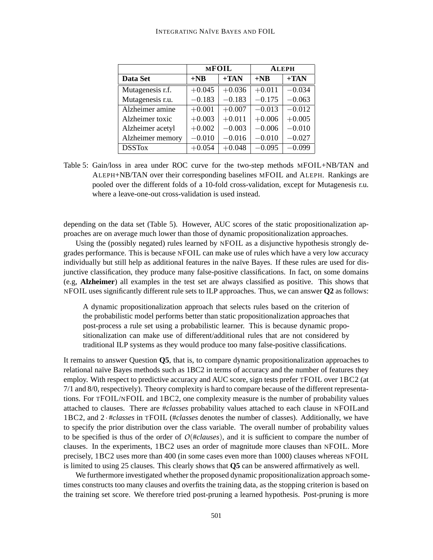|                  |          | <b>MFOIL</b> | <b>ALEPH</b> |          |  |
|------------------|----------|--------------|--------------|----------|--|
| Data Set         | $+NB$    | $+TAN$       | $+NB$        | $+TAN$   |  |
| Mutagenesis r.f. | $+0.045$ | $+0.036$     | $+0.011$     | $-0.034$ |  |
| Mutagenesis r.u. | $-0.183$ | $-0.183$     | $-0.175$     | $-0.063$ |  |
| Alzheimer amine  | $+0.001$ | $+0.007$     | $-0.013$     | $-0.012$ |  |
| Alzheimer toxic  | $+0.003$ | $+0.011$     | $+0.006$     | $+0.005$ |  |
| Alzheimer acetyl | $+0.002$ | $-0.003$     | $-0.006$     | $-0.010$ |  |
| Alzheimer memory | $-0.010$ | $-0.016$     | $-0.010$     | $-0.027$ |  |
| <b>DSSTox</b>    | $+0.054$ | $+0.048$     | $-0.095$     | $-0.099$ |  |

Table 5: Gain/loss in area under ROC curve for the two-step methods MFOIL+NB/TAN and ALEPH+NB/TAN over their corresponding baselines MFOIL and ALEPH. Rankings are pooled over the different folds of a 10-fold cross-validation, except for Mutagenesis r.u. where a leave-one-out cross-validation is used instead.

depending on the data set (Table 5). However, AUC scores of the static propositionalization approaches are on average much lower than those of dynamic propositionalization approaches.

Using the (possibly negated) rules learned by NFOIL as a disjunctive hypothesis strongly degrades performance. This is because NFOIL can make use of rules which have a very low accuracy individually but still help as additional features in the naïve Bayes. If these rules are used for disjunctive classification, they produce many false-positive classifications. In fact, on some domains (e.g, **Alzheimer**) all examples in the test set are always classified as positive. This shows that NFOIL uses significantly different rule sets to ILP approaches. Thus, we can answer **Q2** as follows:

A dynamic propositionalization approach that selects rules based on the criterion of the probabilistic model performs better than static propositionalization approaches that post-process a rule set using a probabilistic learner. This is because dynamic propositionalization can make use of different/additional rules that are not considered by traditional ILP systems as they would produce too many false-positive classifications.

It remains to answer Question **Q5**, that is, to compare dynamic propositionalization approaches to relational naïve Bayes methods such as 1BC2 in terms of accuracy and the number of features they employ. With respect to predictive accuracy and AUC score, sign tests prefer TFOIL over 1BC2 (at 7/1 and 8/0, respectively). Theory complexity is hard to compare because of the different representations. For TFOIL/NFOIL and 1BC2, one complexity measure is the number of probability values attached to clauses. There are #*classes* probability values attached to each clause in NFOILand 1BC2, and 2 · #*classes* in TFOIL (#*classes* denotes the number of classes). Additionally, we have to specify the prior distribution over the class variable. The overall number of probability values to be specified is thus of the order of *O*(#*clauses*), and it is sufficient to compare the number of clauses. In the experiments, 1BC2 uses an order of magnitude more clauses than NFOIL. More precisely, 1BC2 uses more than 400 (in some cases even more than 1000) clauses whereas NFOIL is limited to using 25 clauses. This clearly shows that **Q5** can be answered affirmatively as well.

We furthermore investigated whether the proposed dynamic propositionalization approach sometimes constructs too many clauses and overfits the training data, as the stopping criterion is based on the training set score. We therefore tried post-pruning a learned hypothesis. Post-pruning is more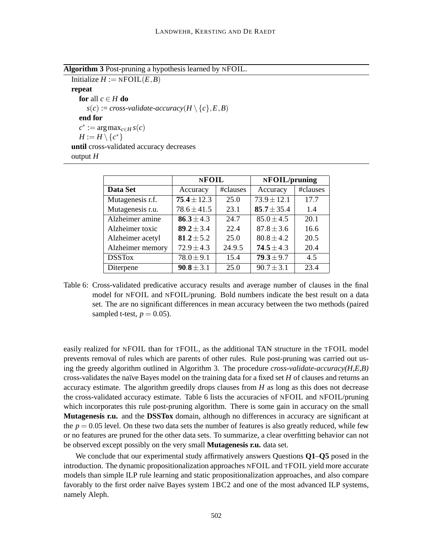**Algorithm 3** Post-pruning a hypothesis learned by NFOIL.

Initialize  $H := \text{NFOLL}(E, B)$ **repeat for** all  $c \in H$  **do**  $s(c) := cross-validation$ *execuracy* $(H \setminus \{c\}, E, B)$ **end for**  $c^* := \arg \max_{c \in H} s(c)$  $H := H \setminus \{c^*\}$ **until** cross-validated accuracy decreases output *H*

|                  | <b>NFOIL</b>    |          | NFOIL/pruning   |          |  |
|------------------|-----------------|----------|-----------------|----------|--|
| Data Set         | Accuracy        | #clauses | Accuracy        | #clauses |  |
| Mutagenesis r.f. | $75.4 \pm 12.3$ | 25.0     | $73.9 \pm 12.1$ | 17.7     |  |
| Mutagenesis r.u. | $78.6 \pm 41.5$ | 23.1     | $85.7 \pm 35.4$ | 1.4      |  |
| Alzheimer amine  | 86.3 ± 4.3      | 24.7     | $85.0 \pm 4.5$  | 20.1     |  |
| Alzheimer toxic  | 89.2 ± 3.4      | 22.4     | $87.8 \pm 3.6$  | 16.6     |  |
| Alzheimer acetyl | 81.2 $\pm$ 5.2  | 25.0     | $80.8 \pm 4.2$  | 20.5     |  |
| Alzheimer memory | $72.9 \pm 4.3$  | 24.9.5   | $74.5 \pm 4.3$  | 20.4     |  |
| <b>DSSTox</b>    | $78.0 \pm 9.1$  | 15.4     | $79.3 \pm 9.7$  | 4.5      |  |
| Diterpene        | $90.8 \pm 3.1$  | 25.0     | $90.7 \pm 3.1$  | 23.4     |  |

Table 6: Cross-validated predicative accuracy results and average number of clauses in the final model for NFOIL and NFOIL/pruning. Bold numbers indicate the best result on a data set. The are no significant differences in mean accuracy between the two methods (paired sampled t-test,  $p = 0.05$ ).

easily realized for NFOIL than for TFOIL, as the additional TAN structure in the TFOIL model prevents removal of rules which are parents of other rules. Rule post-pruning was carried out using the greedy algorithm outlined in Algorithm 3. The procedure *cross-validate-accuracy(H,E,B)* cross-validates the naïve Bayes model on the training data for a fixed set *H* of clauses and returns an accuracy estimate. The algorithm greedily drops clauses from *H* as long as this does not decrease the cross-validated accuracy estimate. Table 6 lists the accuracies of NFOIL and NFOIL/pruning which incorporates this rule post-pruning algorithm. There is some gain in accuracy on the small **Mutagenesis r.u.** and the **DSSTox** domain, although no differences in accuracy are significant at the  $p = 0.05$  level. On these two data sets the number of features is also greatly reduced, while few or no features are pruned for the other data sets. To summarize, a clear overfitting behavior can not be observed except possibly on the very small **Mutagenesis r.u.** data set.

We conclude that our experimental study affirmatively answers Questions **Q1**–**Q5** posed in the introduction. The dynamic propositionalization approaches NFOIL and TFOIL yield more accurate models than simple ILP rule learning and static propositionalization approaches, and also compare favorably to the first order naïve Bayes system  $1BC2$  and one of the most advanced ILP systems, namely Aleph.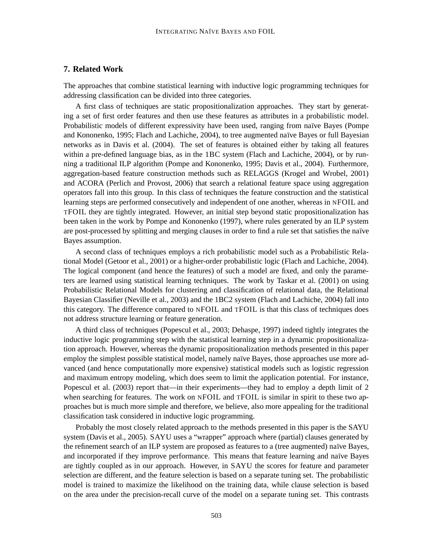# **7. Related Work**

The approaches that combine statistical learning with inductive logic programming techniques for addressing classification can be divided into three categories.

A first class of techniques are static propositionalization approaches. They start by generating a set of first order features and then use these features as attributes in a probabilistic model. Probabilistic models of different expressivity have been used, ranging from naïve Bayes (Pompe and Kononenko, 1995; Flach and Lachiche, 2004), to tree augmented naïve Bayes or full Bayesian networks as in Davis et al. (2004). The set of features is obtained either by taking all features within a pre-defined language bias, as in the 1BC system (Flach and Lachiche, 2004), or by running a traditional ILP algorithm (Pompe and Kononenko, 1995; Davis et al., 2004). Furthermore, aggregation-based feature construction methods such as RELAGGS (Krogel and Wrobel, 2001) and ACORA (Perlich and Provost, 2006) that search a relational feature space using aggregation operators fall into this group. In this class of techniques the feature construction and the statistical learning steps are performed consecutively and independent of one another, whereas in NFOIL and TFOIL they are tightly integrated. However, an initial step beyond static propositionalization has been taken in the work by Pompe and Kononenko (1997), where rules generated by an ILP system are post-processed by splitting and merging clauses in order to find a rule set that satisfies the naïve Bayes assumption.

A second class of techniques employs a rich probabilistic model such as a Probabilistic Relational Model (Getoor et al., 2001) or a higher-order probabilistic logic (Flach and Lachiche, 2004). The logical component (and hence the features) of such a model are fixed, and only the parameters are learned using statistical learning techniques. The work by Taskar et al. (2001) on using Probabilistic Relational Models for clustering and classification of relational data, the Relational Bayesian Classifier (Neville et al., 2003) and the 1BC2 system (Flach and Lachiche, 2004) fall into this category. The difference compared to NFOIL and TFOIL is that this class of techniques does not address structure learning or feature generation.

A third class of techniques (Popescul et al., 2003; Dehaspe, 1997) indeed tightly integrates the inductive logic programming step with the statistical learning step in a dynamic propositionalization approach. However, whereas the dynamic propositionalization methods presented in this paper employ the simplest possible statistical model, namely naïve Bayes, those approaches use more advanced (and hence computationally more expensive) statistical models such as logistic regression and maximum entropy modeling, which does seem to limit the application potential. For instance, Popescul et al. (2003) report that—in their experiments—they had to employ a depth limit of 2 when searching for features. The work on NFOIL and TFOIL is similar in spirit to these two approaches but is much more simple and therefore, we believe, also more appealing for the traditional classification task considered in inductive logic programming.

Probably the most closely related approach to the methods presented in this paper is the SAYU system (Davis et al., 2005). SAYU uses a "wrapper" approach where (partial) clauses generated by the refinement search of an ILP system are proposed as features to a (tree augmented) naïve Bayes, and incorporated if they improve performance. This means that feature learning and naïve Bayes are tightly coupled as in our approach. However, in SAYU the scores for feature and parameter selection are different, and the feature selection is based on a separate tuning set. The probabilistic model is trained to maximize the likelihood on the training data, while clause selection is based on the area under the precision-recall curve of the model on a separate tuning set. This contrasts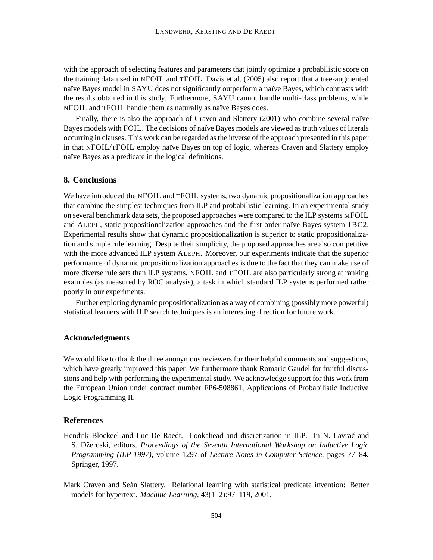with the approach of selecting features and parameters that jointly optimize a probabilistic score on the training data used in NFOIL and TFOIL. Davis et al. (2005) also report that a tree-augmented naïve Bayes model in SAYU does not significantly outperform a naïve Bayes, which contrasts with the results obtained in this study. Furthermore, SAYU cannot handle multi-class problems, while NFOIL and TFOIL handle them as naturally as naïve Bayes does.

Finally, there is also the approach of Craven and Slattery (2001) who combine several naïve Bayes models with FOIL. The decisions of naïve Bayes models are viewed as truth values of literals occurring in clauses. This work can be regarded asthe inverse of the approach presented in this paper in that NFOIL/TFOIL employ naïve Bayes on top of logic, whereas Craven and Slattery employ naïve Bayes as a predicate in the logical definitions.

# **8. Conclusions**

We have introduced the NFOIL and TFOIL systems, two dynamic propositionalization approaches that combine the simplest techniques from ILP and probabilistic learning. In an experimental study on several benchmark data sets, the proposed approaches were compared to the ILP systems MFOIL and ALEPH, static propositionalization approaches and the first-order naïve Bayes system 1BC2. Experimental results show that dynamic propositionalization is superior to static propositionalization and simple rule learning. Despite their simplicity, the proposed approaches are also competitive with the more advanced ILP system ALEPH. Moreover, our experiments indicate that the superior performance of dynamic propositionalization approaches is due to the fact that they can make use of more diverse rule sets than ILP systems. NFOIL and TFOIL are also particularly strong at ranking examples (as measured by ROC analysis), a task in which standard ILP systems performed rather poorly in our experiments.

Further exploring dynamic propositionalization as a way of combining (possibly more powerful) statistical learners with ILP search techniques is an interesting direction for future work.

# **Acknowledgments**

We would like to thank the three anonymous reviewers for their helpful comments and suggestions, which have greatly improved this paper. We furthermore thank Romaric Gaudel for fruitful discussions and help with performing the experimental study. We acknowledge support for this work from the European Union under contract number FP6-508861, Applications of Probabilistic Inductive Logic Programming II.

# **References**

- Hendrik Blockeel and Luc De Raedt. Lookahead and discretization in ILP. In N. Lavrač and S. Dzeroski, ˇ editors, *Proceedings of the Seventh International Workshop on Inductive Logic Programming (ILP-1997)*, volume 1297 of *Lecture Notes in Computer Science*, pages 77–84. Springer, 1997.
- Mark Craven and Seán Slattery. Relational learning with statistical predicate invention: Better models for hypertext. *Machine Learning*, 43(1–2):97–119, 2001.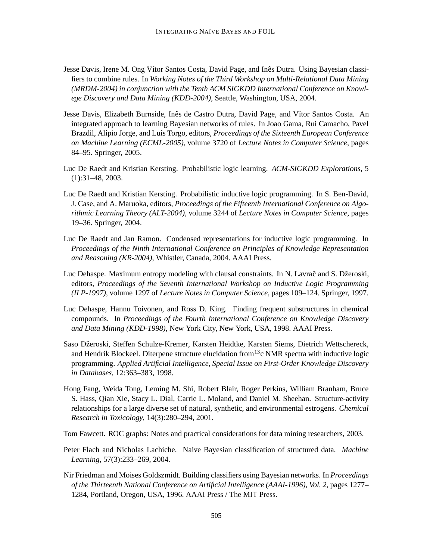- Jesse Davis, Irene M. Ong Vítor Santos Costa, David Page, and Inês Dutra. Using Bayesian classifiers to combine rules. In *Working Notes of the Third Workshop on Multi-Relational Data Mining (MRDM-2004) in conjunction with the Tenth ACM SIGKDD International Conference on Knowlege Discovery and Data Mining (KDD-2004)*, Seattle, Washington, USA, 2004.
- Jesse Davis, Elizabeth Burnside, Inês de Castro Dutra, David Page, and Vítor Santos Costa. An integrated approach to learning Bayesian networks of rules. In Joao Gama, Rui Camacho, Pavel Brazdil, Al´ıpio Jorge, and Lu´ıs Torgo, editors, *Proceedings of the Sixteenth European Conference on Machine Learning (ECML-2005)*, volume 3720 of *Lecture Notes in Computer Science*, pages 84–95. Springer, 2005.
- Luc De Raedt and Kristian Kersting. Probabilistic logic learning. *ACM-SIGKDD Explorations*, 5 (1):31–48, 2003.
- Luc De Raedt and Kristian Kersting. Probabilistic inductive logic programming. In S. Ben-David, J. Case, and A. Maruoka, editors, *Proceedings of the Fifteenth International Conference on Algorithmic Learning Theory (ALT-2004)*, volume 3244 of *Lecture Notes in Computer Science*, pages 19–36. Springer, 2004.
- Luc De Raedt and Jan Ramon. Condensed representations for inductive logic programming. In *Proceedings of the Ninth International Conference on Principles of Knowledge Representation and Reasoning (KR-2004)*, Whistler, Canada, 2004. AAAI Press.
- Luc Dehaspe. Maximum entropy modeling with clausal constraints. In N. Lavrač and S. Džeroski, editors, *Proceedings of the Seventh International Workshop on Inductive Logic Programming (ILP-1997)*, volume 1297 of *Lecture Notes in Computer Science*, pages 109–124. Springer, 1997.
- Luc Dehaspe, Hannu Toivonen, and Ross D. King. Finding frequent substructures in chemical compounds. In *Proceedings of the Fourth International Conference on Knowledge Discovery and Data Mining (KDD-1998)*, New York City, New York, USA, 1998. AAAI Press.
- Saso Džeroski, Steffen Schulze-Kremer, Karsten Heidtke, Karsten Siems, Dietrich Wettschereck, and Hendrik Blockeel. Diterpene structure elucidation from  $13c$  NMR spectra with inductive logic programming. *Applied Artificial Intelligence, Special Issue on First-Order Knowledge Discovery in Databases*, 12:363–383, 1998.
- Hong Fang, Weida Tong, Leming M. Shi, Robert Blair, Roger Perkins, William Branham, Bruce S. Hass, Qian Xie, Stacy L. Dial, Carrie L. Moland, and Daniel M. Sheehan. Structure-activity relationships for a large diverse set of natural, synthetic, and environmental estrogens. *Chemical Research in Toxicology*, 14(3):280–294, 2001.
- Tom Fawcett. ROC graphs: Notes and practical considerations for data mining researchers, 2003.
- Peter Flach and Nicholas Lachiche. Naive Bayesian classification of structured data. *Machine Learning*, 57(3):233–269, 2004.
- Nir Friedman and Moises Goldszmidt. Building classifiers using Bayesian networks. In *Proceedings of the Thirteenth National Conference on Artificial Intelligence (AAAI-1996), Vol. 2*, pages 1277– 1284, Portland, Oregon, USA, 1996. AAAI Press / The MIT Press.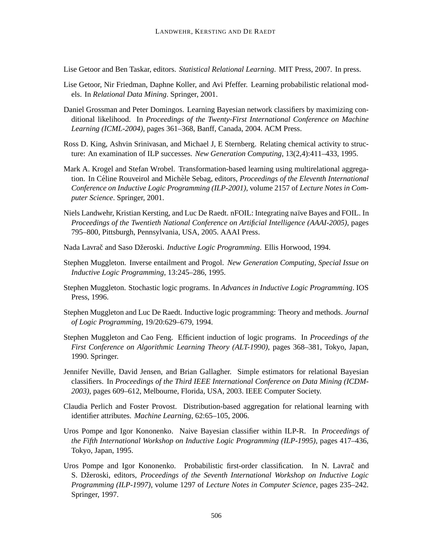Lise Getoor and Ben Taskar, editors. *Statistical Relational Learning*. MIT Press, 2007. In press.

- Lise Getoor, Nir Friedman, Daphne Koller, and Avi Pfeffer. Learning probabilistic relational models. In *Relational Data Mining*. Springer, 2001.
- Daniel Grossman and Peter Domingos. Learning Bayesian network classifiers by maximizing conditional likelihood. In *Proceedings of the Twenty-First International Conference on Machine Learning (ICML-2004)*, pages 361–368, Banff, Canada, 2004. ACM Press.
- Ross D. King, Ashvin Srinivasan, and Michael J, E Sternberg. Relating chemical activity to structure: An examination of ILP successes. *New Generation Computing*, 13(2,4):411–433, 1995.
- Mark A. Krogel and Stefan Wrobel. Transformation-based learning using multirelational aggregation. In Céline Rouveirol and Michèle Sebag, editors, *Proceedings of the Eleventh International Conference on Inductive Logic Programming (ILP-2001)*, volume 2157 of *Lecture Notes in Computer Science*. Springer, 2001.
- Niels Landwehr, Kristian Kersting, and Luc De Raedt. nFOIL: Integrating naïve Bayes and FOIL. In *Proceedings of the Twentieth National Conference on Artificial Intelligence (AAAI-2005)*, pages 795–800, Pittsburgh, Pennsylvania, USA, 2005. AAAI Press.
- Nada Lavrač and Saso Džeroski. *Inductive Logic Programming*. Ellis Horwood, 1994.
- Stephen Muggleton. Inverse entailment and Progol. *New Generation Computing, Special Issue on Inductive Logic Programming*, 13:245–286, 1995.
- Stephen Muggleton. Stochastic logic programs. In *Advances in Inductive Logic Programming*. IOS Press, 1996.
- Stephen Muggleton and Luc De Raedt. Inductive logic programming: Theory and methods. *Journal of Logic Programming*, 19/20:629–679, 1994.
- Stephen Muggleton and Cao Feng. Efficient induction of logic programs. In *Proceedings of the First Conference on Algorithmic Learning Theory (ALT-1990)*, pages 368–381, Tokyo, Japan, 1990. Springer.
- Jennifer Neville, David Jensen, and Brian Gallagher. Simple estimators for relational Bayesian classifiers. In *Proceedings of the Third IEEE International Conference on Data Mining (ICDM-2003)*, pages 609–612, Melbourne, Florida, USA, 2003. IEEE Computer Society.
- Claudia Perlich and Foster Provost. Distribution-based aggregation for relational learning with identifier attributes. *Machine Learning*, 62:65–105, 2006.
- Uros Pompe and Igor Kononenko. Naive Bayesian classifier within ILP-R. In *Proceedings of the Fifth International Workshop on Inductive Logic Programming (ILP-1995)*, pages 417–436, Tokyo, Japan, 1995.
- Uros Pompe and Igor Kononenko. Probabilistic first-order classification. In N. Lavrač and S. Dzeroski, ˇ editors, *Proceedings of the Seventh International Workshop on Inductive Logic Programming (ILP-1997)*, volume 1297 of *Lecture Notes in Computer Science*, pages 235–242. Springer, 1997.